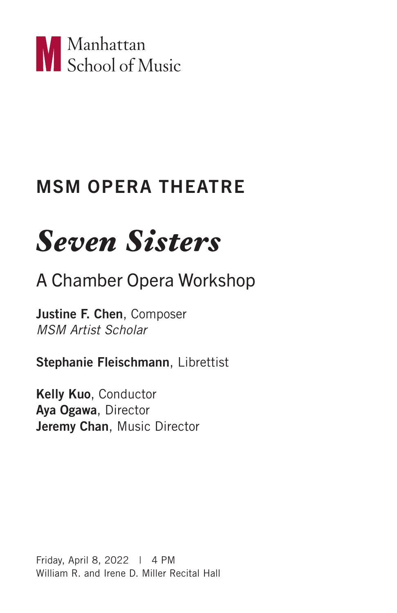

# MSM OPERA THEATRE

# *Seven Sisters*

# A Chamber Opera Workshop

Justine F. Chen, Composer *MSM Artist Scholar*

Stephanie Fleischmann, Librettist

Kelly Kuo, Conductor Aya Ogawa, Director Jeremy Chan, Music Director

Friday, April 8, 2022 | 4 PM William R. and Irene D. Miller Recital Hall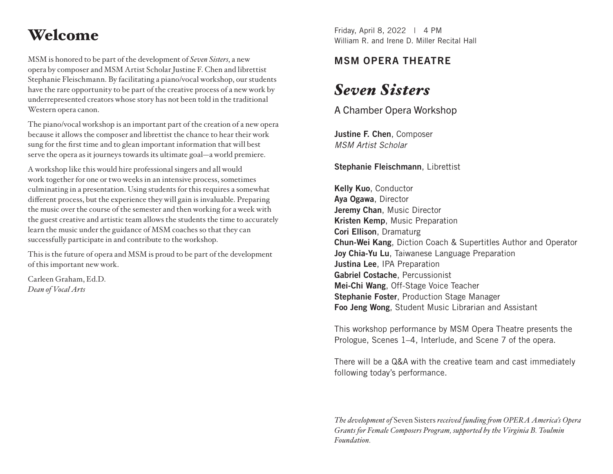MSM is honored to be part of the development of *Seven Sisters*, a new opera by composer and MSM Artist Scholar Justine F. Chen and librettist Stephanie Fleischmann. By facilitating a piano/vocal workshop, our students have the rare opportunity to be part of the creative process of a new work by underrepresented creators whose story has not been told in the traditional Western opera canon.

The piano/vocal workshop is an important part of the creation of a new opera because it allows the composer and librettist the chance to hear their work sung for the first time and to glean important information that will best serve the opera as it journeys towards its ultimate goal—a world premiere.

A workshop like this would hire professional singers and all would work together for one or two weeks in an intensive process, sometimes culminating in a presentation. Using students for this requires a somewhat different process, but the experience they will gain is invaluable. Preparing the music over the course of the semester and then working for a week with the guest creative and artistic team allows the students the time to accurately learn the music under the guidance of MSM coaches so that they can successfully participate in and contribute to the workshop.

This is the future of opera and MSM is proud to be part of the development of this important new work.

Carleen Graham, Ed.D. *Dean of Vocal Arts*

Friday, April 8, 2022 <sup>|</sup> 4 PM Welcome William R. and Irene D. Miller Recital Hall

### MSM OPERA THEATRE

# *Seven Sisters*

A Chamber Opera Workshop

Justine F. Chen, Composer *MSM Artist Scholar*

Stephanie Fleischmann, Librettist

Kelly Kuo, Conductor Aya Ogawa, Director Jeremy Chan, Music Director Kristen Kemp, Music Preparation Cori Ellison, Dramaturg Chun-Wei Kang, Diction Coach & Supertitles Author and Operator Joy Chia-Yu Lu, Taiwanese Language Preparation Justina Lee, IPA Preparation Gabriel Costache, Percussionist Mei-Chi Wang, Off-Stage Voice Teacher Stephanie Foster, Production Stage Manager Foo Jeng Wong, Student Music Librarian and Assistant

This workshop performance by MSM Opera Theatre presents the Prologue, Scenes 1–4, Interlude, and Scene 7 of the opera.

There will be a Q&A with the creative team and cast immediately following today's performance.

*The development of* Seven Sisters *received funding from OPERA America's Opera Grants for Female Composers Program, supported by the Virginia B. Toulmin Foundation.*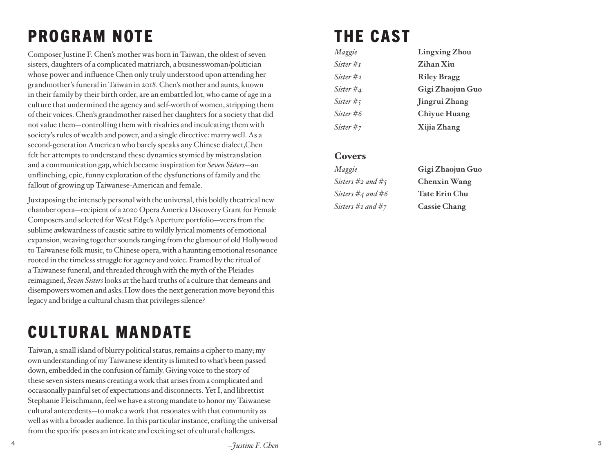# PROGRAM NOTE

Composer Justine F. Chen's mother was born in Taiwan, the oldest of seven sisters, daughters of a complicated matriarch, a businesswoman/politician whose power and influence Chen only truly understood upon attending her grandmother's funeral in Taiwan in 2018. Chen's mother and aunts, known in their family by their birth order, are an embattled lot, who came of age in a culture that undermined the agency and self-worth of women, stripping them of their voices. Chen's grandmother raised her daughters for a society that did not value them—controlling them with rivalries and inculcating them with society's rules of wealth and power, and a single directive: marry well. As a second-generation American who barely speaks any Chinese dialect,Chen felt her attempts to understand these dynamics stymied by mistranslation and a communication gap, which became inspiration for *Seven Sisters*—an unflinching, epic, funny exploration of the dysfunctions of family and the fallout of growing up Taiwanese-American and female.

Juxtaposing the intensely personal with the universal, this boldly theatrical new chamber opera—recipient of a 2020 Opera America Discovery Grant for Female Composers and selected for West Edge's Aperture portfolio—veers from the sublime awkwardness of caustic satire to wildly lyrical moments of emotional expansion, weaving together sounds ranging from the glamour of old Hollywood to Taiwanese folk music, to Chinese opera, with a haunting emotional resonance rooted in the timeless struggle for agency and voice. Framed by the ritual of a Taiwanese funeral, and threaded through with the myth of the Pleiades reimagined, *Seven Sisters* looks at the hard truths of a culture that demeans and disempowers women and asks: How does the next generation move beyond this legacy and bridge a cultural chasm that privileges silence?

# CULTURAL MANDATE

Taiwan, a small island of blurry political status, remains a cipher to many; my own understanding of my Taiwanese identity is limited to what's been passed down, embedded in the confusion of family. Giving voice to the story of these seven sisters means creating a work that arises from a complicated and occasionally painful set of expectations and disconnects. Yet I, and librettist Stephanie Fleischmann, feel we have a strong mandate to honor my Taiwanese cultural antecedents—to make a work that resonates with that community as well as with a broader audience. In this particular instance, crafting the universal from the specific poses an intricate and exciting set of cultural challenges.

# THE CAST

| Maggie    | <b>Lingxing Zhou</b> |
|-----------|----------------------|
| Sister #1 | Zihan Xiu            |
| Sister #2 | <b>Riley Bragg</b>   |
| Sister #4 | Gigi Zhaojun Guo     |
| Sister #5 | Jingrui Zhang        |
| Sister #6 | <b>Chiyue Huang</b>  |
| Sister #7 | Xijia Zhang          |

#### **Covers**

| Maggie                    | Gigi Zhaojun Guo     |
|---------------------------|----------------------|
| Sisters #2 and #5         | <b>Chenxin Wang</b>  |
| Sisters $\#_4$ and $\#_6$ | <b>Tate Erin Chu</b> |
| Sisters #1 and #7         | <b>Cassie Chang</b>  |

**4**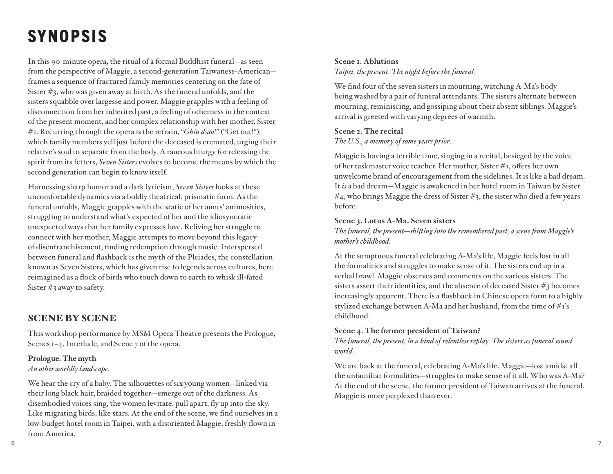# SYNOPSIS

In this 90-minute opera, the ritual of a formal Buddhist funeral—as seen from the perspective of Maggie, a second-generation Taiwanese-American frames a sequence of fractured family memories centering on the fate of Sister #3, who was given away at birth. As the funeral unfolds, and the sisters squabble over largesse and power, Maggie grapples with a feeling of disconnection from her inherited past, a feeling of otherness in the context of the present moment, and her complex relationship with her mother, Sister #1. Recurring through the opera is the refrain, "*Ghin dsao!*" ("Get out!"), which family members yell just before the deceased is cremated, urging their relative's soul to separate from the body. A raucous liturgy for releasing the spirit from its fetters, *Seven Sisters* evolves to become the means by which the second generation can begin to know itself.

Harnessing sharp humor and a dark lyricism, *Seven Sisters* looks at these uncomfortable dynamics via a boldly theatrical, prismatic form. As the funeral unfolds, Maggie grapples with the static of her aunts' animosities, struggling to understand what's expected of her and the idiosyncratic unexpected ways that her family expresses love. Reliving her struggle to connect with her mother, Maggie attempts to move beyond this legacy of disenfranchisement, finding redemption through music. Interspersed between funeral and flashback is the myth of the Pleiades, the constellation known as Seven Sisters, which has given rise to legends across cultures, here reimagined as a flock of birds who touch down to earth to whisk ill-fated Sister #3 away to safety.

#### SCENE BY SCENE

This workshop performance by MSM Opera Theatre presents the Prologue, Scenes 1–4, Interlude, and Scene 7 of the opera.

#### **Prologue. The myth**  *An otherworldly landscape.*

We hear the cry of a baby. The silhouettes of six young women—linked via their long black hair, braided together—emerge out of the darkness. As disembodied voices sing, the women levitate, pull apart, fly up into the sky. Like migrating birds, like stars. At the end of the scene, we find ourselves in a low-budget hotel room in Taipei, with a disoriented Maggie, freshly flown in from America.

#### **Scene 1. Ablutions**

*Taipei, the present. The night before the funeral.*

We find four of the seven sisters in mourning, watching A-Ma's body being washed by a pair of funeral attendants. The sisters alternate between mourning, reminiscing, and gossiping about their absent siblings. Maggie's arrival is greeted with varying degrees of warmth.

#### **Scene 2. The recital**

*The U.S., a memory of some years prior.*

Maggie is having a terrible time, singing in a recital, besieged by the voice of her taskmaster voice teacher. Her mother, Sister #1, offers her own unwelcome brand of encouragement from the sidelines. It is like a bad dream. It *is* a bad dream—Maggie is awakened in her hotel room in Taiwan by Sister  $#_4$ , who brings Maggie the dress of Sister  $#_3$ , the sister who died a few years before.

#### **Scene 3. Lotus A-Ma. Seven sisters**

*The funeral, the present—shifting into the remembered past, a scene from Maggie's mother's childhood.*

At the sumptuous funeral celebrating A-Ma's life, Maggie feels lost in all the formalities and struggles to make sense of it. The sisters end up in a verbal brawl. Maggie observes and comments on the various sisters. The sisters assert their identities, and the absence of deceased Sister #3 becomes increasingly apparent. There is a flashback in Chinese opera form to a highly stylized exchange between A-Ma and her husband, from the time of #1's childhood.

#### **Scene 4. The former president of Taiwan?**

*The funeral, the present, in a kind of relentless replay. The sisters as funeral sound world.*

We are back at the funeral, celebrating A-Ma's life. Maggie—lost amidst all the unfamiliar formalities—struggles to make sense of it all. Who was A-Ma? At the end of the scene, the former president of Taiwan arrives at the funeral. Maggie is more perplexed than ever.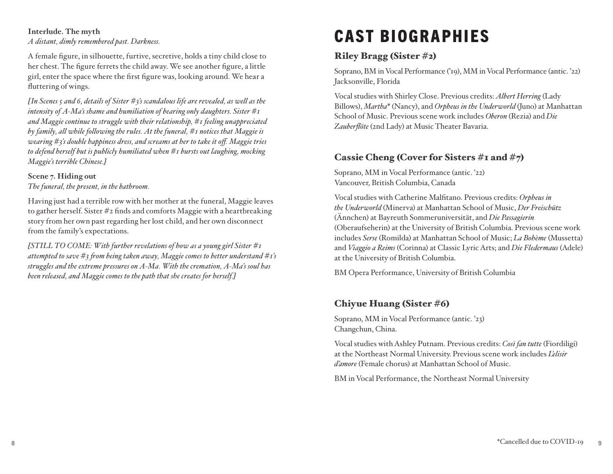#### **Interlude. The myth**

*A distant, dimly remembered past. Darkness.*

A female figure, in silhouette, furtive, secretive, holds a tiny child close to her chest. The figure ferrets the child away. We see another figure, a little girl, enter the space where the first figure was, looking around. We hear a fluttering of wings.

*[In Scenes 5 and 6, details of Sister #3's scandalous life are revealed, as well as the intensity of A-Ma's shame and humiliation of bearing only daughters. Sister #1 and Maggie continue to struggle with their relationship, #1 feeling unappreciated by family, all while following the rules. At the funeral, #1 notices that Maggie is wearing #3's double happiness dress, and screams at her to take it off. Maggie tries to defend herself but is publicly humiliated when #1 bursts out laughing, mocking Maggie's terrible Chinese.]* 

#### **Scene 7. Hiding out**

*The funeral, the present, in the bathroom.*

Having just had a terrible row with her mother at the funeral, Maggie leaves to gather herself. Sister #2 finds and comforts Maggie with a heartbreaking story from her own past regarding her lost child, and her own disconnect from the family's expectations.

*[STILL TO COME: With further revelations of how as a young girl Sister #1 attempted to save #3 from being taken away, Maggie comes to better understand #1's struggles and the extreme pressures on A-Ma. With the cremation, A-Ma's soul has been released, and Maggie comes to the path that she creates for herself.]*

# CAST BIOGRAPHIES

#### Riley Bragg (Sister #2)

Soprano, BM in Vocal Performance ('19), MM in Vocal Performance (antic. '22) Jacksonville, Florida

Vocal studies with Shirley Close. Previous credits: *Albert Herring* (Lady Billows), *Martha*\* (Nancy), and *Orpheus in the Underworld* (Juno) at Manhattan School of Music. Previous scene work includes *Oberon* (Rezia) and *Die Zauberflöte* (2nd Lady) at Music Theater Bavaria.

#### Cassie Cheng (Cover for Sisters #1 and #7)

Soprano, MM in Vocal Performance (antic. '22) Vancouver, British Columbia, Canada

Vocal studies with Catherine Malfitano. Previous credits: *Orpheus in the Underworld* (Minerva) at Manhattan School of Music, *Der Freischütz*  (Ännchen) at Bayreuth Sommeruniversität, and *Die Passagierin* (Oberaufseherin) at the University of British Columbia. Previous scene work includes *Serse* (Romilda) at Manhattan School of Music; *La Bohème* (Mussetta) and *Viaggio a Reims* (Corinna) at Classic Lyric Arts; and *Die Fledermaus* (Adele) at the University of British Columbia.

BM Opera Performance, University of British Columbia

#### Chiyue Huang (Sister #6)

Soprano, MM in Vocal Performance (antic. '23) Changchun, China.

Vocal studies with Ashley Putnam. Previous credits: *Così fan tutte* (Fiordiligi) at the Northeast Normal University. Previous scene work includes *L'elisir d'amore* (Female chorus) at Manhattan School of Music.

BM in Vocal Performance, the Northeast Normal University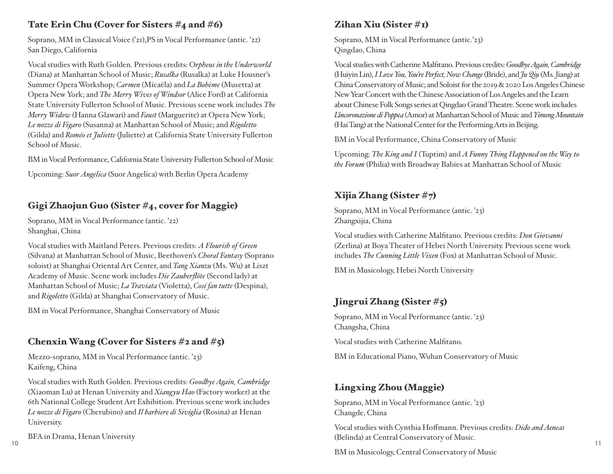#### Tate Erin Chu (Cover for Sisters #4 and #6)

Soprano, MM in Classical Voice ('21),PS in Vocal Performance (antic. '22) San Diego, California

Vocal studies with Ruth Golden. Previous credits: O*rpheus in the Underworld* (Diana) at Manhattan School of Music; *Rusalka* (Rusalka) at Luke Housner's Summer Opera Workshop; *Carmen* (Micaëla) and *La Bohème* (Musetta) at Opera New York; and *The Merry Wives of Windsor* (Alice Ford) at California State University Fullerton School of Music. Previous scene work includes *The Merry Widow* (Hanna Glawari) and *Faust* (Marguerite) at Opera New York; *Le nozze di Figaro* (Susanna) at Manhattan School of Music; and *Rigoletto* (Gilda) and *Roméo et Juliette* (Juliette) at California State University Fullerton School of Music.

BM in Vocal Performance, California State University Fullerton School of Music

Upcoming: *Suor Angelica* (Suor Angelica) with Berlin Opera Academy

### Gigi Zhaojun Guo (Sister #4, cover for Maggie)

Soprano, MM in Vocal Performance (antic. '22) Shanghai, China

Vocal studies with Maitland Peters. Previous credits: *A Flourish of Green*  (Silvana) at Manhattan School of Music, Beethoven's *Choral Fantasy* (Soprano soloist) at Shanghai Oriental Art Center, and *Tang Xianzu* (Ms. Wu) at Liszt Academy of Music. Scene work includes *Die Zauberflöte* (Second lady) at Manhattan School of Music; *La Traviata* (Violetta), *Cosí fan tutte* (Despina), and *Rigoletto* (Gilda) at Shanghai Conservatory of Music.

BM in Vocal Performance, Shanghai Conservatory of Music

#### Chenxin Wang (Cover for Sisters  $\#$ 2 and  $\#$ 5)

Mezzo-soprano, MM in Vocal Performance (antic. '23) Kaifeng, China

Vocal studies with Ruth Golden. Previous credits: *Goodbye Again, Cambridge*  (Xiaoman Lu) at Henan University and *Xiangyu Hao* (Factory worker) at the 6th National College Student Art Exhibition. Previous scene work includes *Le nozze di Figaro* (Cherubino) and *Il barbiere di Siviglia* (Rosina) at Henan University.

BFA in Drama, Henan University

### Zihan Xiu (Sister #1)

Soprano, MM in Vocal Performance (antic.'23) Qingdao, China

Vocal studies with Catherine Malfitano. Previous credits: *Goodbye Again, Cambridge* (Huiyin Lin), *I Love You, You're Perfect, Now Change* (Bride), and *Ju Qiu* (Ms. Jiang) at China Conservatory of Music; and Soloist for the 2019 & 2020 Los Angeles Chinese New Year Concert with the Chinese Association of Los Angeles and the Learn about Chinese Folk Songs series at Qingdao Grand Theatre. Scene work includes *L'incoronazione di Poppea* (Amor) at Manhattan School of Music and *YimengMountain* (Hai Tang) at the National Center for the Performing Arts in Beijing.

BM in Vocal Performance, China Conservatory of Music

Upcoming: *The King and I* (Tuptim) and *A Funny Thing Happened on the Way to the Forum* (Philia) with Broadway Babies at Manhattan School of Music

#### Xijia Zhang (Sister #7)

Soprano, MM in Vocal Performance (antic. '23) Zhangxijia, China

Vocal studies with Catherine Malfitano. Previous credits: *Don Giovanni*  (Zerlina) at Boya Theater of Hebei North University. Previous scene work includes *The Cunning Little Vixen* (Fox) at Manhattan School of Music.

BM in Musicology, Hebei North University

#### Jingrui Zhang (Sister #5)

Soprano, MM in Vocal Performance (antic. '23) Changsha, China

Vocal studies with Catherine Malfitano.

BM in Educational Piano, Wuhan Conservatory of Music

#### Lingxing Zhou (Maggie)

Soprano, MM in Vocal Performance (antic. '23) Changde, China

**10 11** Vocal studies with Cynthia Hoffmann. Previous credits: *Dido and Aeneas*  (Belinda) at Central Conservatory of Music.

BM in Musicology, Central Conservatory of Music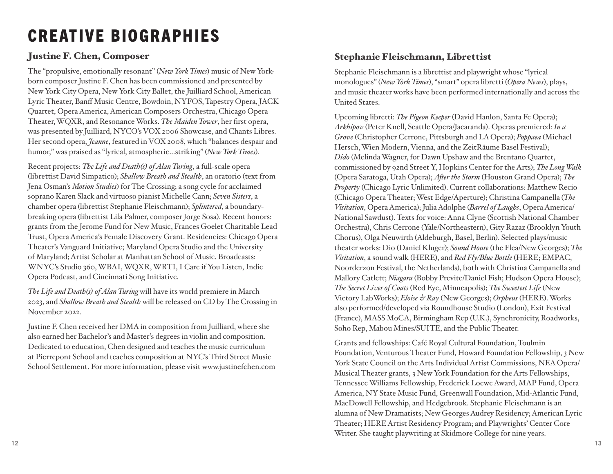# CREATIVE BIOGRAPHIES

#### Justine F. Chen, Composer

The "propulsive, emotionally resonant" (*New York Times*) music of New Yorkborn composer Justine F. Chen has been commissioned and presented by New York City Opera, New York City Ballet, the Juilliard School, American Lyric Theater, Banff Music Centre, Bowdoin, NYFOS, Tapestry Opera, JACK Quartet, Opera America, American Composers Orchestra, Chicago Opera Theater, WQXR, and Resonance Works. *The Maiden Tower*, her first opera, was presented by Juilliard, NYCO's VOX 2006 Showcase, and Chants Libres. Her second opera, *Jeanne*, featured in VOX 2008, which "balances despair and humor," was praised as "lyrical, atmospheric…striking" (*New York Times*).

Recent projects: *The Life and Death(s) of Alan Turing*, a full-scale opera (librettist David Simpatico); *Shallow Breath and Stealth*, an oratorio (text from Jena Osman's *Motion Studies*) for The Crossing; a song cycle for acclaimed soprano Karen Slack and virtuoso pianist Michelle Cann; *Seven Sisters*, a chamber opera (librettist Stephanie Fleischmann); *Splintered*, a boundarybreaking opera (librettist Lila Palmer, composer Jorge Sosa). Recent honors: grants from the Jerome Fund for New Music, Frances Goelet Charitable Lead Trust, Opera America's Female Discovery Grant. Residencies: Chicago Opera Theater's Vanguard Initiative; Maryland Opera Studio and the University of Maryland; Artist Scholar at Manhattan School of Music. Broadcasts: WNYC's Studio 360, WBAI, WQXR, WRTI, I Care if You Listen, Indie Opera Podcast, and Cincinnati Song Initiative.

*The Life and Death(s) of Alan Turing* will have its world premiere in March 2023, and *Shallow Breath and Stealth* will be released on CD by The Crossing in November 2022.

Justine F. Chen received her DMA in composition from Juilliard, where she also earned her Bachelor's and Master's degrees in violin and composition. Dedicated to education, Chen designed and teaches the music curriculum at Pierrepont School and teaches composition at NYC's Third Street Music School Settlement. For more information, please visit www.justinefchen.com

#### Stephanie Fleischmann, Librettist

Stephanie Fleischmann is a librettist and playwright whose "lyrical monologues" (*New York Times*), "smart" opera libretti (*Opera News*), plays, and music theater works have been performed internationally and across the United States.

Upcoming libretti: *The Pigeon Keeper* (David Hanlon, Santa Fe Opera); *Arkhipov* (Peter Knell, Seattle Opera/Jacaranda). Operas premiered: *In a Grove* (Christopher Cerrone, Pittsburgh and LA Opera); *Poppaea* (Michael Hersch, Wien Modern, Vienna, and the ZeitRäume Basel Festival); *Dido* (Melinda Wagner, for Dawn Upshaw and the Brentano Quartet, commissioned by 92nd Street Y, Hopkins Center for the Arts); *The Long Walk* (Opera Saratoga, Utah Opera); *After the Storm* (Houston Grand Opera); *The Property* (Chicago Lyric Unlimited). Current collaborations: Matthew Recio (Chicago Opera Theater; West Edge/Aperture); Christina Campanella (*The Visitation*, Opera America); Julia Adolphe (*Barrel of Laughs*, Opera America/ National Sawdust). Texts for voice: Anna Clyne (Scottish National Chamber Orchestra), Chris Cerrone (Yale/Northeastern), Gity Razaz (Brooklyn Youth Chorus), Olga Neuwirth (Aldeburgh, Basel, Berlin). Selected plays/music theater works: Dio (Daniel Kluger); *Sound House* (the Flea/New Georges); *The Visitation*, a sound walk (HERE), and *Red Fly/Blue Bottle* (HERE; EMPAC, Noorderzon Festival, the Netherlands), both with Christina Campanella and Mallory Catlett; *Niagara* (Bobby Previte/Daniel Fish; Hudson Opera House); *The Secret Lives of Coats* (Red Eye, Minneapolis); *The Sweetest Life* (New Victory LabWorks); *Eloise & Ray* (New Georges); *Orpheus* (HERE). Works also performed/developed via Roundhouse Studio (London), Exit Festival (France), MASS MoCA, Birmingham Rep (U.K.), Synchronicity, Roadworks, Soho Rep, Mabou Mines/SUITE, and the Public Theater.

Grants and fellowships: Café Royal Cultural Foundation, Toulmin Foundation, Venturous Theater Fund, Howard Foundation Fellowship, 3 New York State Council on the Arts Individual Artist Commissions, NEA Opera/ Musical Theater grants, 3 New York Foundation for the Arts Fellowships, Tennessee Williams Fellowship, Frederick Loewe Award, MAP Fund, Opera America, NY State Music Fund, Greenwall Foundation, Mid-Atlantic Fund, MacDowell Fellowship, and Hedgebrook. Stephanie Fleischmann is an alumna of New Dramatists; New Georges Audrey Residency; American Lyric Theater; HERE Artist Residency Program; and Playwrights' Center Core Writer. She taught playwriting at Skidmore College for nine years.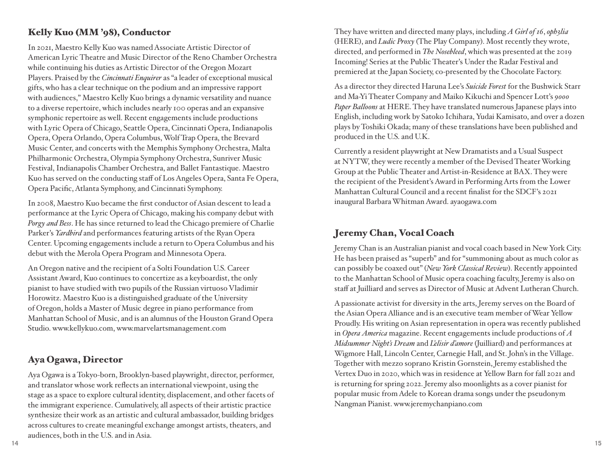#### Kelly Kuo (MM '98), Conductor

In 2021, Maestro Kelly Kuo was named Associate Artistic Director of American Lyric Theatre and Music Director of the Reno Chamber Orchestra while continuing his duties as Artistic Director of the Oregon Mozart Players. Praised by the *Cincinnati Enquirer* as "a leader of exceptional musical gifts, who has a clear technique on the podium and an impressive rapport with audiences," Maestro Kelly Kuo brings a dynamic versatility and nuance to a diverse repertoire, which includes nearly 100 operas and an expansive symphonic repertoire as well. Recent engagements include productions with Lyric Opera of Chicago, Seattle Opera, Cincinnati Opera, Indianapolis Opera, Opera Orlando, Opera Columbus, Wolf Trap Opera, the Brevard Music Center, and concerts with the Memphis Symphony Orchestra, Malta Philharmonic Orchestra, Olympia Symphony Orchestra, Sunriver Music Festival, Indianapolis Chamber Orchestra, and Ballet Fantastique. Maestro Kuo has served on the conducting staff of Los Angeles Opera, Santa Fe Opera, Opera Pacific, Atlanta Symphony, and Cincinnati Symphony.

In 2008, Maestro Kuo became the first conductor of Asian descent to lead a performance at the Lyric Opera of Chicago, making his company debut with *Porgy and Bess*. He has since returned to lead the Chicago premiere of Charlie Parker's *Yardbird* and performances featuring artists of the Ryan Opera Center. Upcoming engagements include a return to Opera Columbus and his debut with the Merola Opera Program and Minnesota Opera.

An Oregon native and the recipient of a Solti Foundation U.S. Career Assistant Award, Kuo continues to concertize as a keyboardist, the only pianist to have studied with two pupils of the Russian virtuoso Vladimir Horowitz. Maestro Kuo is a distinguished graduate of the University of Oregon, holds a Master of Music degree in piano performance from Manhattan School of Music, and is an alumnus of the Houston Grand Opera Studio. www.kellykuo.com, www.marvelartsmanagement.com

#### Aya Ogawa, Director

Aya Ogawa is a Tokyo-born, Brooklyn-based playwright, director, performer, and translator whose work reflects an international viewpoint, using the stage as a space to explore cultural identity, displacement, and other facets of the immigrant experience. Cumulatively, all aspects of their artistic practice synthesize their work as an artistic and cultural ambassador, building bridges across cultures to create meaningful exchange amongst artists, theaters, and audiences, both in the U.S. and in Asia.

They have written and directed many plays, including *A Girl of 16*, *oph3lia* (HERE), and *Ludic Proxy* (The Play Company). Most recently they wrote, directed, and performed in *The Nosebleed*, which was presented at the 2019 Incoming! Series at the Public Theater's Under the Radar Festival and premiered at the Japan Society, co-presented by the Chocolate Factory.

As a director they directed Haruna Lee's *Suicide Forest* for the Bushwick Starr and Ma-Yi Theater Company and Maiko Kikuchi and Spencer Lott's *9000 Paper Balloons* at HERE. They have translated numerous Japanese plays into English, including work by Satoko Ichihara, Yudai Kamisato, and over a dozen plays by Toshiki Okada; many of these translations have been published and produced in the U.S. and U.K.

Currently a resident playwright at New Dramatists and a Usual Suspect at NYTW, they were recently a member of the Devised Theater Working Group at the Public Theater and Artist-in-Residence at BAX. They were the recipient of the President's Award in Performing Arts from the Lower Manhattan Cultural Council and a recent finalist for the SDCF's 2021 inaugural Barbara Whitman Award. ayaogawa.com

#### Jeremy Chan, Vocal Coach

Jeremy Chan is an Australian pianist and vocal coach based in New York City. He has been praised as "superb" and for "summoning about as much color as can possibly be coaxed out" (*New York Classical Review*). Recently appointed to the Manhattan School of Music opera coaching faculty, Jeremy is also on staff at Juilliard and serves as Director of Music at Advent Lutheran Church.

A passionate activist for diversity in the arts, Jeremy serves on the Board of the Asian Opera Alliance and is an executive team member of Wear Yellow Proudly. His writing on Asian representation in opera was recently published in *Opera America* magazine. Recent engagements include productions of *A Midsummer Night's Dream* and *L'elisir d'amore* (Juilliard) and performances at Wigmore Hall, Lincoln Center, Carnegie Hall, and St. John's in the Village. Together with mezzo soprano Kristin Gornstein, Jeremy established the Vertex Duo in 2020, which was in residence at Yellow Barn for fall 2021 and is returning for spring 2022. Jeremy also moonlights as a cover pianist for popular music from Adele to Korean drama songs under the pseudonym Nangman Pianist. www.jeremychanpiano.com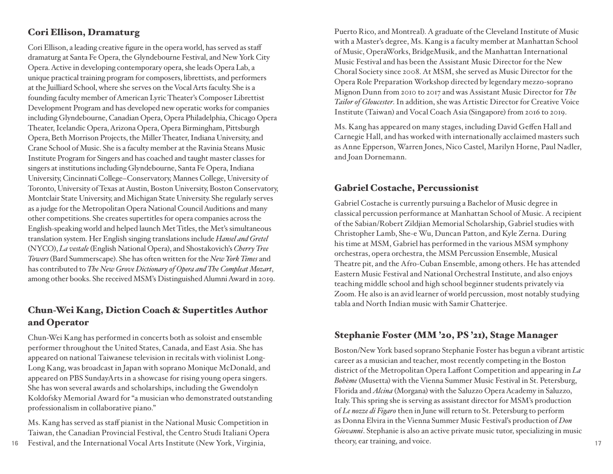#### Cori Ellison, Dramaturg

Cori Ellison, a leading creative figure in the opera world, has served as staff dramaturg at Santa Fe Opera, the Glyndebourne Festival, and New York City Opera. Active in developing contemporary opera, she leads Opera Lab, a unique practical training program for composers, librettists, and performers at the Juilliard School, where she serves on the Vocal Arts faculty. She is a founding faculty member of American Lyric Theater's Composer Librettist Development Program and has developed new operatic works for companies including Glyndebourne, Canadian Opera, Opera Philadelphia, Chicago Opera Theater, Icelandic Opera, Arizona Opera, Opera Birmingham, Pittsburgh Opera, Beth Morrison Projects, the Miller Theater, Indiana University, and Crane School of Music. She is a faculty member at the Ravinia Steans Music Institute Program for Singers and has coached and taught master classes for singers at institutions including Glyndebourne, Santa Fe Opera, Indiana University, Cincinnati College–Conservatory, Mannes College, University of Toronto, University of Texas at Austin, Boston University, Boston Conservatory, Montclair State University, and Michigan State University. She regularly serves as a judge for the Metropolitan Opera National Council Auditions and many other competitions. She creates supertitles for opera companies across the English-speaking world and helped launch Met Titles, the Met's simultaneous translation system. Her English singing translations include *Hansel and Gretel* (NYCO), *La vestale* (English National Opera), and Shostakovich's *Cherry Tree Towers* (Bard Summerscape). She has often written for the *New York Times* and has contributed to *The New Grove Dictionary of Opera and The Compleat Mozart*, among other books. She received MSM's Distinguished Alumni Award in 2019.

#### Chun-Wei Kang, Diction Coach & Supertitles Author and Operator

Chun-Wei Kang has performed in concerts both as soloist and ensemble performer throughout the United States, Canada, and East Asia. She has appeared on national Taiwanese television in recitals with violinist Long-Long Kang, was broadcast in Japan with soprano Monique McDonald, and appeared on PBS SundayArts in a showcase for rising young opera singers. She has won several awards and scholarships, including the Gwendolyn Koldofsky Memorial Award for "a musician who demonstrated outstanding professionalism in collaborative piano."

Ms. Kang has served as staff pianist in the National Music Competition in Taiwan, the Canadian Provincial Festival, the Centro Studi Italiani Opera

Puerto Rico, and Montreal). A graduate of the Cleveland Institute of Music with a Master's degree, Ms. Kang is a faculty member at Manhattan School of Music, OperaWorks, BridgeMusik, and the Manhattan International Music Festival and has been the Assistant Music Director for the New Choral Society since 2008. At MSM, she served as Music Director for the Opera Role Preparation Workshop directed by legendary mezzo-soprano Mignon Dunn from 2010 to 2017 and was Assistant Music Director for *The Tailor of Gloucester*. In addition, she was Artistic Director for Creative Voice Institute (Taiwan) and Vocal Coach Asia (Singapore) from 2016 to 2019.

Ms. Kang has appeared on many stages, including David Geffen Hall and Carnegie Hall, and has worked with internationally acclaimed masters such as Anne Epperson, Warren Jones, Nico Castel, Marilyn Horne, Paul Nadler, and Joan Dornemann.

#### Gabriel Costache, Percussionist

Gabriel Costache is currently pursuing a Bachelor of Music degree in classical percussion performance at Manhattan School of Music. A recipient of the Sabian/Robert Zildjian Memorial Scholarship, Gabriel studies with Christopher Lamb, She-e Wu, Duncan Patton, and Kyle Zerna. During his time at MSM, Gabriel has performed in the various MSM symphony orchestras, opera orchestra, the MSM Percussion Ensemble, Musical Theatre pit, and the Afro-Cuban Ensemble, among others. He has attended Eastern Music Festival and National Orchestral Institute, and also enjoys teaching middle school and high school beginner students privately via Zoom. He also is an avid learner of world percussion, most notably studying tabla and North Indian music with Samir Chatterjee.

#### Stephanie Foster (MM '20, PS '21), Stage Manager

**16 17** Festival, and the International Vocal Arts Institute (New York, Virginia, Boston/New York based soprano Stephanie Foster has begun a vibrant artistic career as a musician and teacher, most recently competing in the Boston district of the Metropolitan Opera Laffont Competition and appearing in *La Bohème* (Musetta) with the Vienna Summer Music Festival in St. Petersburg, Florida and *Alcina* (Morgana) with the Saluzzo Opera Academy in Saluzzo, Italy. This spring she is serving as assistant director for MSM's production of *Le nozze di Figaro* then in June will return to St. Petersburg to perform as Donna Elvira in the Vienna Summer Music Festival's production of *Don Giovanni*. Stephanie is also an active private music tutor, specializing in music theory, ear training, and voice.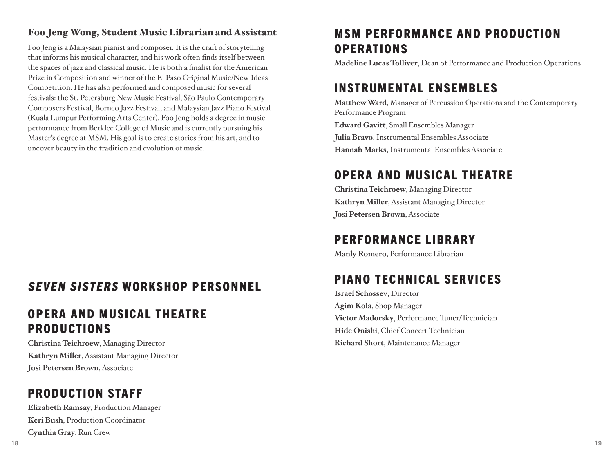#### Foo Jeng Wong, Student Music Librarian and Assistant

Foo Jeng is a Malaysian pianist and composer. It is the craft of storytelling that informs his musical character, and his work often finds itself between the spaces of jazz and classical music. He is both a finalist for the American Prize in Composition and winner of the El Paso Original Music/New Ideas Competition. He has also performed and composed music for several festivals: the St. Petersburg New Music Festival, São Paulo Contemporary Composers Festival, Borneo Jazz Festival, and Malaysian Jazz Piano Festival (Kuala Lumpur Performing Arts Center). Foo Jeng holds a degree in music performance from Berklee College of Music and is currently pursuing his Master's degree at MSM. His goal is to create stories from his art, and to uncover beauty in the tradition and evolution of music.

### SEVEN SISTERS WORKSHOP PERSONNEL

### OPERA AND MUSICAL THEATRE PRODUCTIONS

**Christina Teichroew**, Managing Director **Kathryn Miller**, Assistant Managing Director **Josi Petersen Brown**, Associate

### PRODUCTION STAFF

**Elizabeth Ramsay**, Production Manager **Keri Bush**, Production Coordinator **Cynthia Gray**, Run Crew

## MSM PERFORMANCE AND PRODUCTION OPERATIONS

**Madeline Lucas Tolliver**, Dean of Performance and Production Operations

### INSTRUMENTAL ENSEMBLES

**Matthew Ward**, Manager of Percussion Operations and the Contemporary Performance Program

**Edward Gavitt**, Small Ensembles Manager **Julia Bravo**, Instrumental Ensembles Associate **Hannah Marks**, Instrumental Ensembles Associate

## OPERA AND MUSICAL THEATRE

**Christina Teichroew**, Managing Director **Kathryn Miller**, Assistant Managing Director **Josi Petersen Brown**, Associate

### PERFORMANCE LIBRARY

**Manly Romero**, Performance Librarian

## PIANO TECHNICAL SERVICES

**Israel Schossev**, Director **Agim Kola**, Shop Manager **Victor Madorsky**, Performance Tuner/Technician **Hide Onishi**, Chief Concert Technician **Richard Short**, Maintenance Manager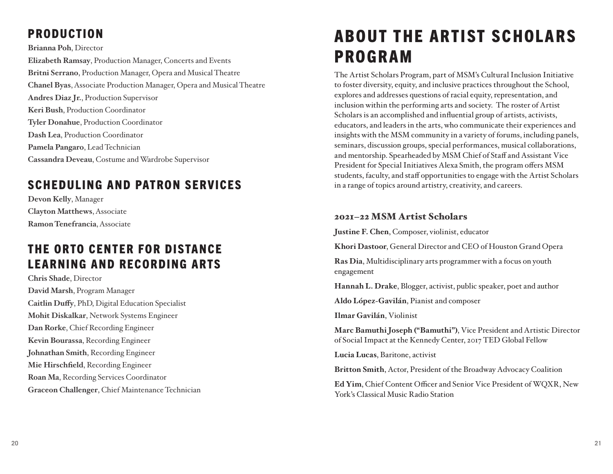# PRODUCTION

**Brianna Poh**, Director

**Elizabeth Ramsay**, Production Manager, Concerts and Events **Britni Serrano**, Production Manager, Opera and Musical Theatre **Chanel Byas**, Associate Production Manager, Opera and Musical Theatre **Andres Diaz Jr.**, Production Supervisor **Keri Bush**, Production Coordinator **Tyler Donahue**, Production Coordinator **Dash Lea**, Production Coordinator **Pamela Pangaro**, Lead Technician **Cassandra Deveau**, Costume and Wardrobe Supervisor

# SCHEDULING AND PATRON SERVICES

**Devon Kelly**, Manager **Clayton Matthews**, Associate **Ramon Tenefrancia**, Associate

# THE ORTO CENTER FOR DISTANCE LEARNING AND RECORDING ARTS

**Chris Shade**, Director **David Marsh**, Program Manager **Caitlin Duffy**, PhD, Digital Education Specialist **Mohit Diskalkar**, Network Systems Engineer **Dan Rorke**, Chief Recording Engineer **Kevin Bourassa**, Recording Engineer **Johnathan Smith**, Recording Engineer **Mie Hirschfield**, Recording Engineer **Roan Ma**, Recording Services Coordinator **Graceon Challenger**, Chief Maintenance Technician

# ABOUT THE ARTIST SCHOLARS PROGRAM

The Artist Scholars Program, part of MSM's Cultural Inclusion Initiative to foster diversity, equity, and inclusive practices throughout the School, explores and addresses questions of racial equity, representation, and inclusion within the performing arts and society. The roster of Artist Scholars is an accomplished and influential group of artists, activists, educators, and leaders in the arts, who communicate their experiences and insights with the MSM community in a variety of forums, including panels, seminars, discussion groups, special performances, musical collaborations, and mentorship. Spearheaded by MSM Chief of Staff and Assistant Vice President for Special Initiatives Alexa Smith, the program offers MSM students, faculty, and staff opportunities to engage with the Artist Scholars in a range of topics around artistry, creativity, and careers.

#### 2021–22 MSM Artist Scholars

**Justine F. Chen**, Composer, violinist, educator

**Khori Dastoor**, General Director and CEO of Houston Grand Opera

**Ras Dia**, Multidisciplinary arts programmer with a focus on youth engagement

**Hannah L. Drake**, Blogger, activist, public speaker, poet and author

**Aldo López-Gavilán**, Pianist and composer

**Ilmar Gavilán**, Violinist

**Marc Bamuthi Joseph ("Bamuthi")**, Vice President and Artistic Director of Social Impact at the Kennedy Center, 2017 TED Global Fellow

**Lucia Lucas**, Baritone, activist

**Britton Smith**, Actor, President of the Broadway Advocacy Coalition

**Ed Yim**, Chief Content Officer and Senior Vice President of WQXR, New York's Classical Music Radio Station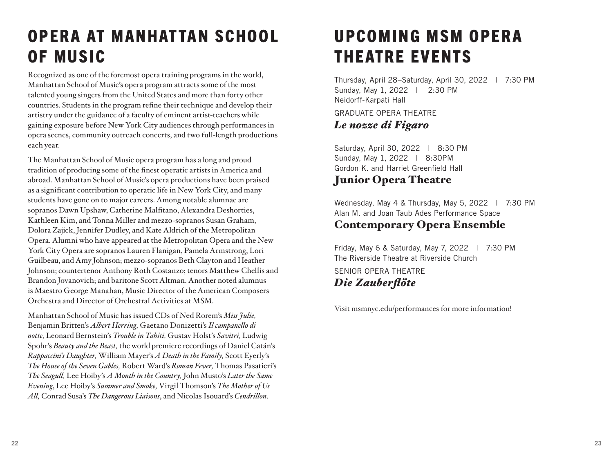# **OPERA AT MANHATTAN SCHOOL** OF MUSIC

Recognized as one of the foremost opera training programs in the world, Manhattan School of Music's opera program attracts some of the most talented young singers from the United States and more than forty other countries. Students in the program refine their technique and develop their artistry under the guidance of a faculty of eminent artist-teachers while gaining exposure before New York City audiences through performances in opera scenes, community outreach concerts, and two full-length productions each year.

The Manhattan School of Music opera program has a long and proud tradition of producing some of the finest operatic artists in America and abroad. Manhattan School of Music's opera productions have been praised as a significant contribution to operatic life in New York City, and many students have gone on to major careers. Among notable alumnae are sopranos Dawn Upshaw, Catherine Malfitano, Alexandra Deshorties, Kathleen Kim, and Tonna Miller and mezzo-sopranos Susan Graham, Dolora Zajick, Jennifer Dudley, and Kate Aldrich of the Metropolitan Opera. Alumni who have appeared at the Metropolitan Opera and the New York City Opera are sopranos Lauren Flanigan, Pamela Armstrong, Lori Guilbeau, and Amy Johnson; mezzo-sopranos Beth Clayton and Heather Johnson; countertenor Anthony Roth Costanzo; tenors Matthew Chellis and Brandon Jovanovich; and baritone Scott Altman. Another noted alumnus is Maestro George Manahan, Music Director of the American Composers Orchestra and Director of Orchestral Activities at MSM.

Manhattan School of Music has issued CDs of Ned Rorem's *Miss Julie,* Benjamin Britten's *Albert Herring,* Gaetano Donizetti's *Il campanello di notte,* Leonard Bernstein's *Trouble in Tahiti,* Gustav Holst's *Savitri,* Ludwig Spohr's *Beauty and the Beast,* the world premiere recordings of Daniel Catán's *Rappaccini's Daughter,* William Mayer's *A Death in the Family,* Scott Eyerly's *The House of the Seven Gables,* Robert Ward's *Roman Fever,* Thomas Pasatieri's *The Seagull,* Lee Hoiby's *A Month in the Country,* John Musto's *Later the Same Evening*, Lee Hoiby's *Summer and Smoke,* Virgil Thomson's *The Mother of Us All,* Conrad Susa's *The Dangerous Liaisons*, and Nicolas Isouard's *Cendrillon.*

# UPCOMING MSM OPERA THEATRE EVENTS

Thursday, April 28–Saturday, April 30, 2022 | 7:30 PM Sunday, May 1, 2022 | 2:30 PM Neidorff-Karpati Hall

GRADUATE OPERA THEATRE *Le nozze di Figaro*

Saturday, April 30, 2022 | 8:30 PM Sunday, May 1, 2022 | 8:30PM Gordon K. and Harriet Greenfield Hall

### Junior Opera Theatre

Wednesday, May 4 & Thursday, May 5, 2022 | 7:30 PM Alan M. and Joan Taub Ades Performance Space Contemporary Opera Ensemble

Friday, May 6 & Saturday, May 7, 2022 | 7:30 PM The Riverside Theatre at Riverside Church SENIOR OPERA THEATRE

*Die Zauberflöte* 

Visit msmnyc.edu/performances for more information!